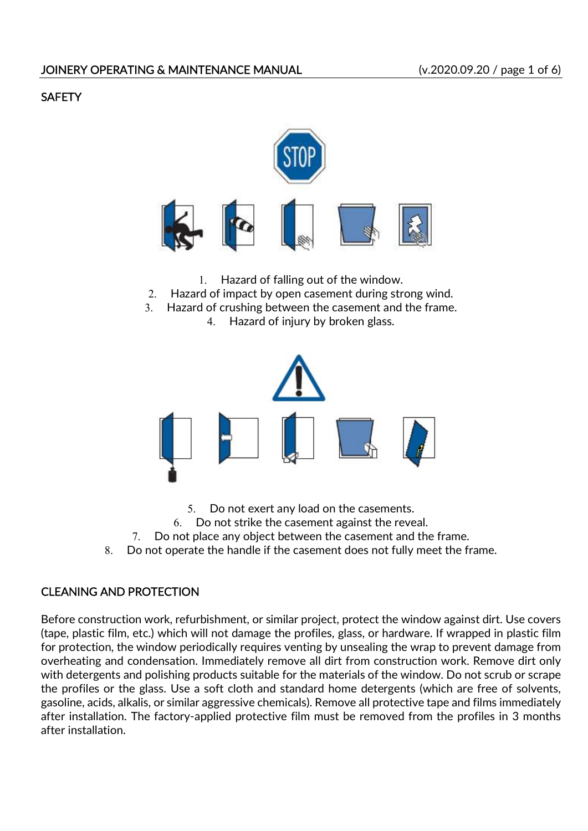# **SAFETY**



- 1. Hazard of falling out of the window.
- 2. Hazard of impact by open casement during strong wind.
- 3. Hazard of crushing between the casement and the frame.
	- 4. Hazard of injury by broken glass.



5. Do not exert any load on the casements.

6. Do not strike the casement against the reveal.

7. Do not place any object between the casement and the frame.

8. Do not operate the handle if the casement does not fully meet the frame.

## CLEANING AND PROTECTION

Before construction work, refurbishment, or similar project, protect the window against dirt. Use covers (tape, plastic film, etc.) which will not damage the profiles, glass, or hardware. If wrapped in plastic film for protection, the window periodically requires venting by unsealing the wrap to prevent damage from overheating and condensation. Immediately remove all dirt from construction work. Remove dirt only with detergents and polishing products suitable for the materials of the window. Do not scrub or scrape the profiles or the glass. Use a soft cloth and standard home detergents (which are free of solvents, gasoline, acids, alkalis, or similar aggressive chemicals). Remove all protective tape and films immediately after installation. The factory-applied protective film must be removed from the profiles in 3 months after installation.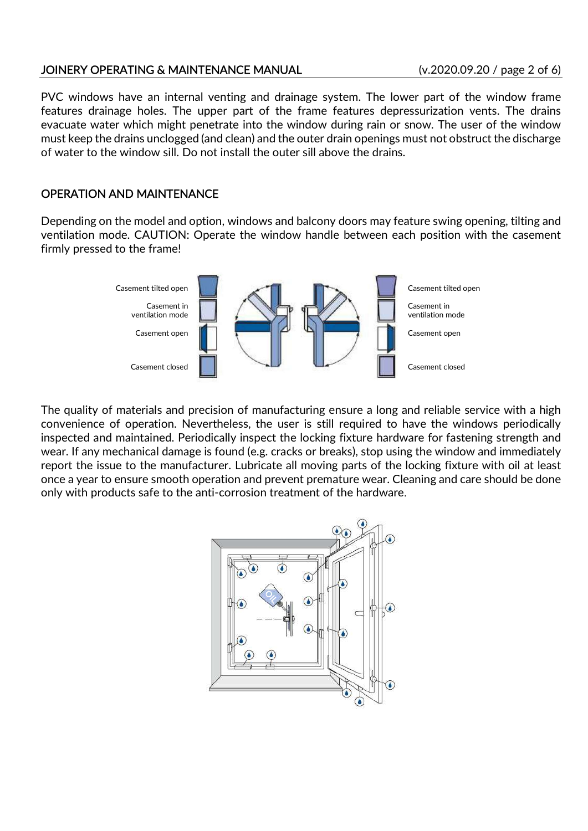### JOINERY OPERATING & MAINTENANCE MANUAL (v.2020.09.20 / page 2 of 6)

PVC windows have an internal venting and drainage system. The lower part of the window frame features drainage holes. The upper part of the frame features depressurization vents. The drains evacuate water which might penetrate into the window during rain or snow. The user of the window must keep the drains unclogged (and clean) and the outer drain openings must not obstruct the discharge of water to the window sill. Do not install the outer sill above the drains.

## OPERATION AND MAINTENANCE

Depending on the model and option, windows and balcony doors may feature swing opening, tilting and ventilation mode. CAUTION: Operate the window handle between each position with the casement firmly pressed to the frame!



The quality of materials and precision of manufacturing ensure a long and reliable service with a high convenience of operation. Nevertheless, the user is still required to have the windows periodically inspected and maintained. Periodically inspect the locking fixture hardware for fastening strength and wear. If any mechanical damage is found (e.g. cracks or breaks), stop using the window and immediately report the issue to the manufacturer. Lubricate all moving parts of the locking fixture with oil at least once a year to ensure smooth operation and prevent premature wear. Cleaning and care should be done only with products safe to the anti-corrosion treatment of the hardware.

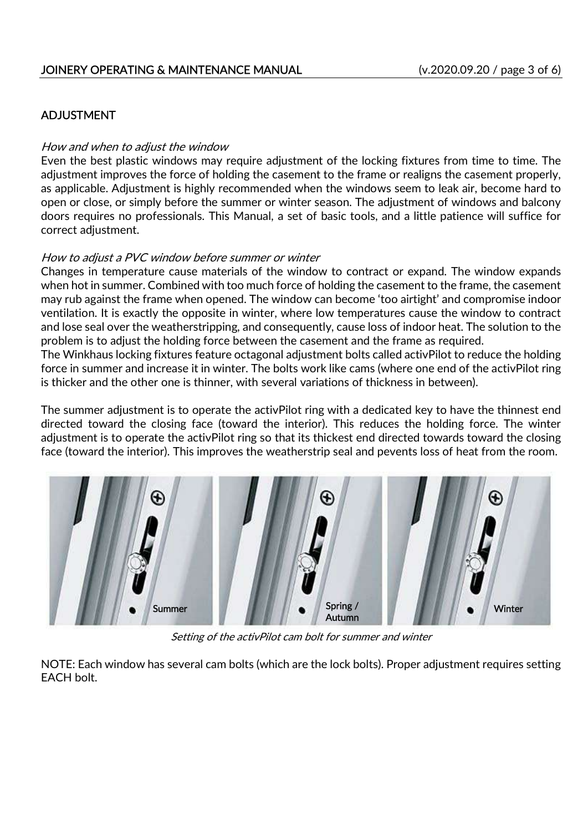### JOINERY OPERATING & MAINTENANCE MANUAL (v.2020.09.20 / page 3 of 6)

## ADJUSTMENT

#### How and when to adjust the window

Even the best plastic windows may require adjustment of the locking fixtures from time to time. The adjustment improves the force of holding the casement to the frame or realigns the casement properly, as applicable. Adjustment is highly recommended when the windows seem to leak air, become hard to open or close, or simply before the summer or winter season. The adjustment of windows and balcony doors requires no professionals. This Manual, a set of basic tools, and a little patience will suffice for correct adjustment.

#### How to adjust a PVC window before summer or winter

Changes in temperature cause materials of the window to contract or expand. The window expands when hot in summer. Combined with too much force of holding the casement to the frame, the casement may rub against the frame when opened. The window can become 'too airtight' and compromise indoor ventilation. It is exactly the opposite in winter, where low temperatures cause the window to contract and lose seal over the weatherstripping, and consequently, cause loss of indoor heat. The solution to the problem is to adjust the holding force between the casement and the frame as required.

The Winkhaus locking fixtures feature octagonal adjustment bolts called activPilot to reduce the holding force in summer and increase it in winter. The bolts work like cams (where one end of the activPilot ring is thicker and the other one is thinner, with several variations of thickness in between).

The summer adjustment is to operate the activPilot ring with a dedicated key to have the thinnest end directed toward the closing face (toward the interior). This reduces the holding force. The winter adjustment is to operate the activPilot ring so that its thickest end directed towards toward the closing face (toward the interior). This improves the weatherstrip seal and pevents loss of heat from the room.



Setting of the activPilot cam bolt for summer and winter

NOTE: Each window has several cam bolts (which are the lock bolts). Proper adjustment requires setting EACH bolt.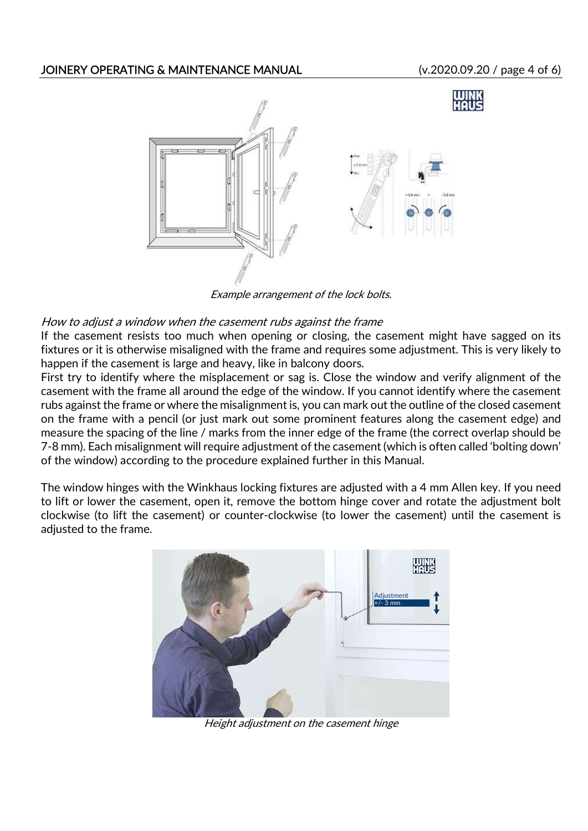## JOINERY OPERATING & MAINTENANCE MANUAL (v.2020.09.20 / page 4 of 6)



Example arrangement of the lock bolts.

### How to adjust a window when the casement rubs against the frame

If the casement resists too much when opening or closing, the casement might have sagged on its fixtures or it is otherwise misaligned with the frame and requires some adjustment. This is very likely to happen if the casement is large and heavy, like in balcony doors.

First try to identify where the misplacement or sag is. Close the window and verify alignment of the casement with the frame all around the edge of the window. If you cannot identify where the casement rubs against the frame or where the misalignment is, you can mark out the outline of the closed casement on the frame with a pencil (or just mark out some prominent features along the casement edge) and measure the spacing of the line / marks from the inner edge of the frame (the correct overlap should be 7-8 mm). Each misalignment will require adjustment of the casement (which is often called 'bolting down' of the window) according to the procedure explained further in this Manual.

The window hinges with the Winkhaus locking fixtures are adjusted with a 4 mm Allen key. If you need to lift or lower the casement, open it, remove the bottom hinge cover and rotate the adjustment bolt clockwise (to lift the casement) or counter-clockwise (to lower the casement) until the casement is adjusted to the frame.



Height adjustment on the casement hinge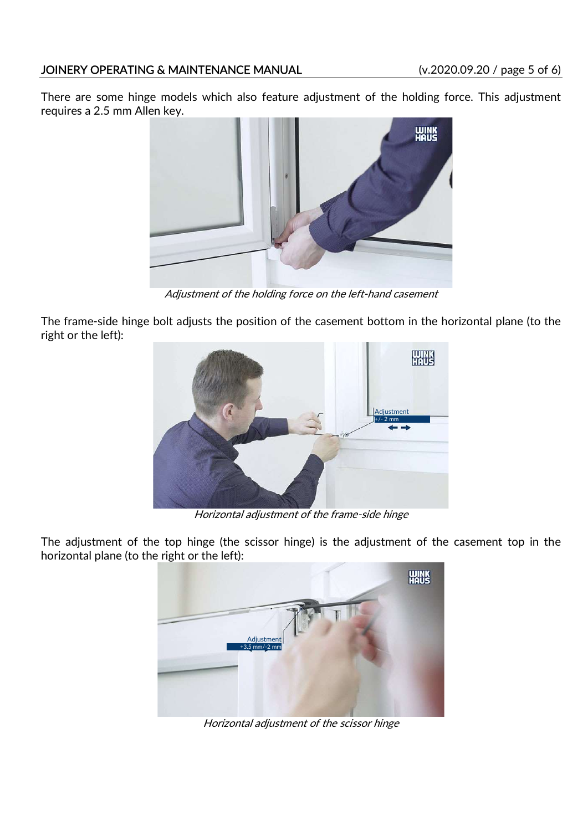## JOINERY OPERATING & MAINTENANCE MANUAL (v.2020.09.20 / page 5 of 6)

There are some hinge models which also feature adjustment of the holding force. This adjustment requires a 2.5 mm Allen key.



Adjustment of the holding force on the left-hand casement

The frame-side hinge bolt adjusts the position of the casement bottom in the horizontal plane (to the right or the left):



Horizontal adjustment of the frame-side hinge

The adjustment of the top hinge (the scissor hinge) is the adjustment of the casement top in the horizontal plane (to the right or the left):



Horizontal adjustment of the scissor hinge